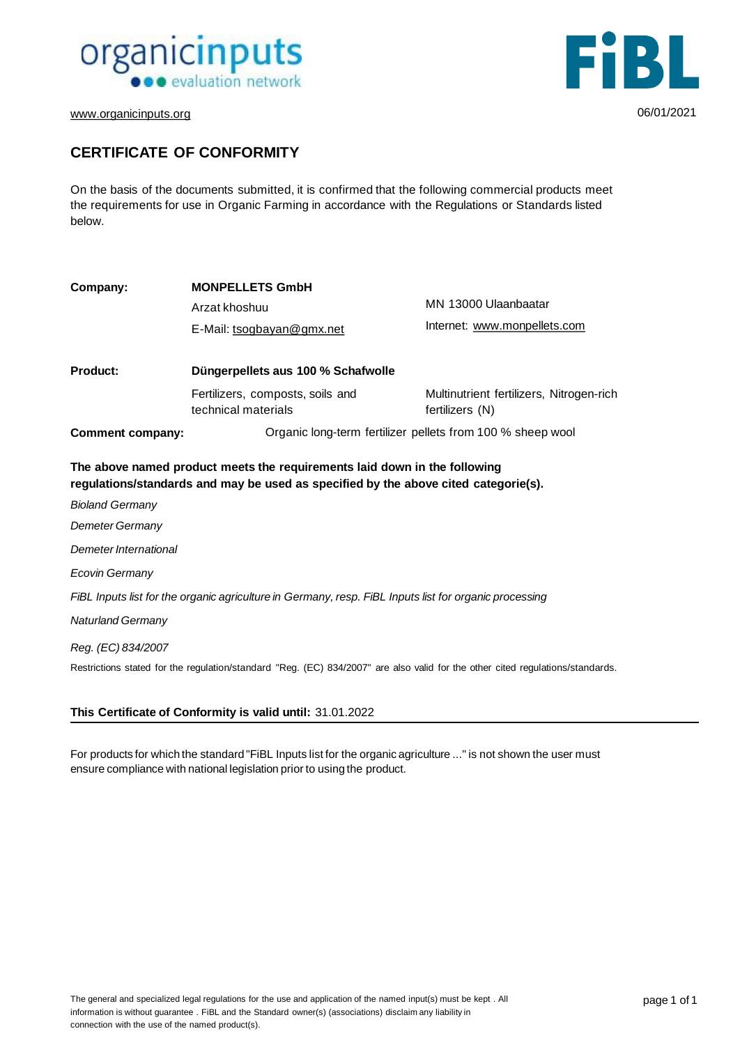



[www.organicinputs.org](http://www.organicinputs.org/) 06/01/2021

### **CERTIFICATE OF CONFORMITY**

On the basis of the documents submitted, it is confirmed that the following commercial products meet the requirements for use in Organic Farming in accordance with the Regulations or Standards listed below.

| Company:                                                                                                                                                         | <b>MONPELLETS GmbH</b><br>Arzat khoshuu<br>E-Mail: tsogbayan@gmx.net | MN 13000 Ulaanbaatar<br>Internet: www.monpellets.com        |  |
|------------------------------------------------------------------------------------------------------------------------------------------------------------------|----------------------------------------------------------------------|-------------------------------------------------------------|--|
| <b>Product:</b>                                                                                                                                                  | Düngerpellets aus 100 % Schafwolle                                   |                                                             |  |
|                                                                                                                                                                  | Fertilizers, composts, soils and<br>technical materials              | Multinutrient fertilizers, Nitrogen-rich<br>fertilizers (N) |  |
| <b>Comment company:</b>                                                                                                                                          | Organic long-term fertilizer pellets from 100 % sheep wool           |                                                             |  |
| The above named product meets the requirements laid down in the following<br>regulations/standards and may be used as specified by the above cited categorie(s). |                                                                      |                                                             |  |
| <b>Bioland Germany</b>                                                                                                                                           |                                                                      |                                                             |  |
| Demeter Germany                                                                                                                                                  |                                                                      |                                                             |  |
| Demeter International                                                                                                                                            |                                                                      |                                                             |  |
| Ecovin Germany                                                                                                                                                   |                                                                      |                                                             |  |
| FiBL Inputs list for the organic agriculture in Germany, resp. FiBL Inputs list for organic processing                                                           |                                                                      |                                                             |  |
| <b>Naturland Germany</b>                                                                                                                                         |                                                                      |                                                             |  |
| Reg. (EC) 834/2007                                                                                                                                               |                                                                      |                                                             |  |

Restrictions stated for the regulation/standard "Reg. (EC) 834/2007" are also valid for the other cited regulations/standards.

#### **This Certificate of Conformity is valid until:** 31.01.2022

For products for which the standard "FiBL Inputs list for the organic agriculture ..." is not shown the user must ensure compliance with national legislation prior to using the product.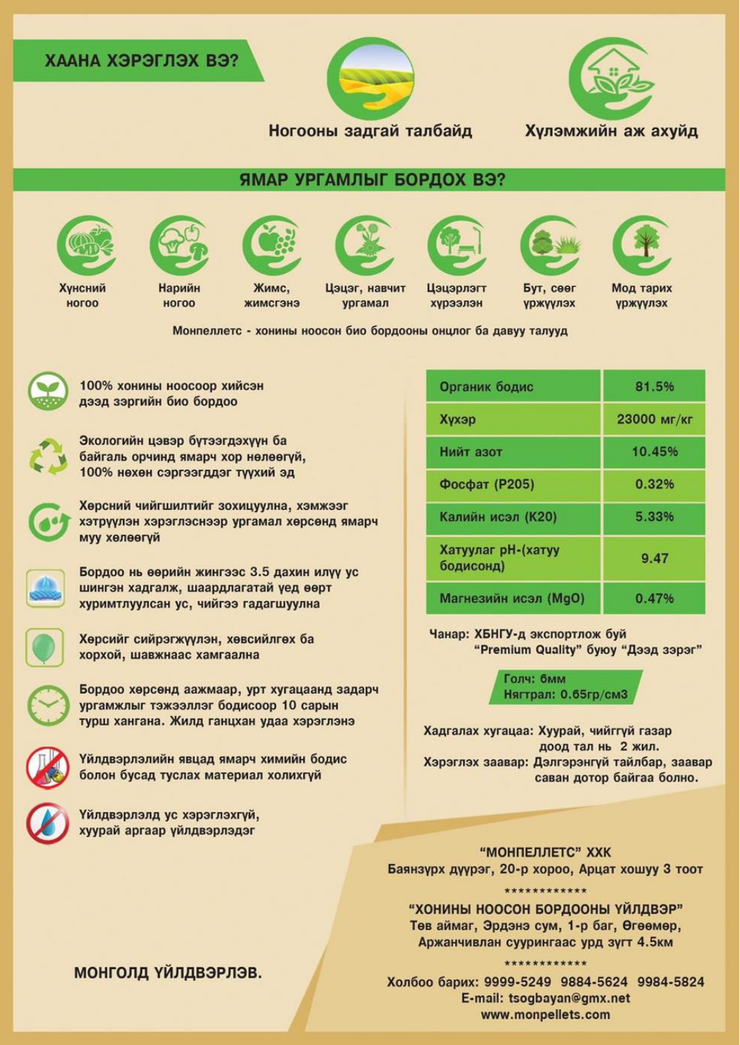### ХААНА ХЭРЭГЛЭХ ВЭ?



Хулэмжийн аж ахуйд

# ЯМАР УРГАМЛЫГ БОРДОХ ВЭ?



Хунсний

**НОГОО** 



Нарийн

ногоо









Жимс,

жимсгэнэ

Цэцэг, навчит ургамал

Цэцэрлэгт хурээлэн

Бут, сөөг

**VDЖVVЛЭХ** 

Мод тарих уржүүлэх

Монпеллетс - хонины ноосон био бордооны онцлог ба давуу талууд



100% хонины ноосоор хийсэн дээд зэргийн био бордоо



Экологийн цэвэр бүтээгдэхүүн ба байгаль орчинд ямарч хор нөлөөгүй, 100% нехен сэргээгддэг түүхий эд

Хөрсний чийгшилтийг зохицуулна, хэмжээг хэтрүүлэн хэрэглэснээр ургамал хөрсөнд ямарч муу хөлөөгүй



Бордоо нь өөрийн жингээс 3.5 дахин илүү ус шингэн хадгалж, шаардлагатай үед өөрт хуримтлуулсан ус, чийгээ гадагшуулна

Хөрсийг сийрэгжүүлэн, хөвсийлгөх ба хорхой, шавжнаас хамгаална

Бордоо хөрсөнд аажмаар, урт хугацаанд задарч ургамжлыг тэжээллэг бодисоор 10 сарын турш хангана. Жилд ганцхан удаа хэрэглэнэ

Үйлдвэрлэлийн явцад ямарч химийн бодис болон бусад туслах материал холихгүй

Үйлдвэрлэлд ус хэрэглэхгүй, хуурай аргаар үйлдвэрлэдэг

#### Органик бодис 81.5% 23000 мг/кг Хүхэр Нийт азот 10.45% Фосфат (Р205) 0.32% Калийн исэл (К20) 5.33% Хатуулаг рН-(хатуу 9.47 бодисонд) Магнезийн исэл (MqO) 0.47%

Чанар: ХБНГУ-д экспортлож буй "Premium Quality" буюу "Дээд зэрэг"

> Голч: бмм Нягтрал: 0.65гр/см3

Хадгалах хугацаа: Хуурай, чийггүй газар доод тал нь 2 жил. Хэрэглэх заавар: Дэлгэрэнгүй тайлбар, заавар саван дотор байгаа болно.

**"МОНПЕЛЛЕТС" ХХК** Баянзүрх дүүрэг, 20-р хороо, Арцат хошуу 3 тоот

\*\*\*\*\*\*\*\*\*\*\*\*\*

"ХОНИНЫ НООСОН БОРДООНЫ ҮЙЛДВЭР" Төв аймаг, Эрдэнэ сум, 1-р баг, Өгөөмөр, Аржанчивлан суурингаас урд зүгт 4.5км

#### \*\*\*\*\*\*\*\*\*\*\*\*

Холбоо барих: 9999-5249 9884-5624 9984-5824 E-mail: tsogbayan@gmx.net www.monpellets.com

## монголд үйлдвэрлэв.